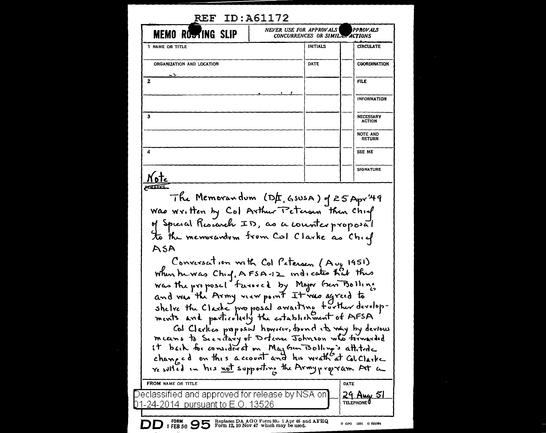| <b>MEMO ROSTING SLIP</b>                                                                                                                                                                                                                                                                                                                                                   | NEVER USE FOR APPROVALS\<br>CONCURRENCES OR SIMILAR ACTIONS | PPROVALS                          |
|----------------------------------------------------------------------------------------------------------------------------------------------------------------------------------------------------------------------------------------------------------------------------------------------------------------------------------------------------------------------------|-------------------------------------------------------------|-----------------------------------|
| 1 NAME OR TITLE                                                                                                                                                                                                                                                                                                                                                            | INITIALS                                                    | <b>CIRCULATE</b>                  |
| ORGANIZATION AND LOCATION                                                                                                                                                                                                                                                                                                                                                  | DATE                                                        | <b>CGORDINATION</b>               |
| 2                                                                                                                                                                                                                                                                                                                                                                          |                                                             | FILE                              |
|                                                                                                                                                                                                                                                                                                                                                                            |                                                             | INFORMATION                       |
| з                                                                                                                                                                                                                                                                                                                                                                          |                                                             | <b>NECESSARY</b><br><b>ACTION</b> |
|                                                                                                                                                                                                                                                                                                                                                                            |                                                             | <b>NOTE AND</b><br><b>RETURN</b>  |
| 4                                                                                                                                                                                                                                                                                                                                                                          |                                                             | SEE ME                            |
| N otc                                                                                                                                                                                                                                                                                                                                                                      |                                                             | <b>SIGNATURE</b>                  |
| The Memorandum (DE, GSUSA) of 25 Apr 49<br>Was Written by Col Arthur Peterson then Chief<br>of Spicial Research ID, as a counterproposal<br>to the memorardom from Col Clarke as Chief<br>ASA                                                                                                                                                                              |                                                             |                                   |
| Conversation with Col Paterson (Aug 1951)<br>when the was Chief, AFSA-12 indicates that this<br>and was the Army reew point It was agreed to<br>shelve the Classic proposal awaiting further devolop-<br>ments and particularly the establishment of AFSA<br>Col Clarkes proposed however, donne its very by devious<br>means to Secretary of Determe Johnson who tomarded |                                                             |                                   |
| it back for considered on May Gun Bolling's attitude<br>resulted in his not supporting the Armypropram At a                                                                                                                                                                                                                                                                |                                                             |                                   |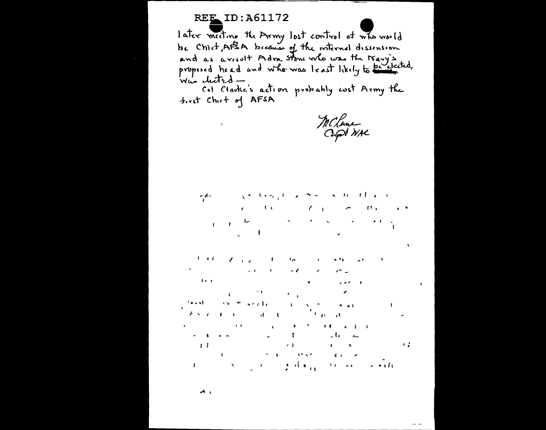# **REE ID: A61172**

 $\mathcal{A}^{\text{max}}$  and  $\mathcal{A}^{\text{max}}$ 

later meeting the Army lost control of who would be Chiet, AFSA because of the internal dissension and as a result Adm. Stone who was the Mary's Was cluted -

Col Clarks's action probably cost Army the first Chief of AFSA

MCLane

والدالي وقالم العاجل والمرتب فكالحرق التناسيم  $\mathcal{L} = \mathcal{L} \mathcal{L} = \mathcal{L} \mathcal{L} = \mathcal{L} \mathcal{L} \mathcal{L} = \mathcal{L} \mathcal{L}$  $\{T_{i,k},\ldots, T_{i,k}\}$  is  $\mathfrak{g}=\mathfrak{g}=\mathfrak{h}\mathfrak{m}$  . The set of the set of the set of the set of the set of the set of the set of the set of the set of the set of the set of the set of the set of the set of the set of the set of the set of th  $\mathbf{L} = \mathbf{0}$ **Contract Contract State** 

 $\mathbf{E} \left[ \mathbf{A} \mathbf{E} \right] = \mathbf{Z} \left[ \mathbf{A} \mathbf{A} \right] \mathbf{A} \quad \quad \mathbf{E} \left[ \mathbf{E} \right] \mathbf{A} \left[ \mathbf{A} \right] \mathbf{A} \quad \quad \mathbf{A} \left[ \mathbf{A} \right] \mathbf{A} \quad \quad \mathbf{A} \left[ \mathbf{A} \right] \mathbf{A} \quad \quad \mathbf{A} \left[ \mathbf{A} \right] \mathbf{A} \quad \quad \mathbf{A} \left[ \mathbf{A} \right] \mathbf{A} \quad \quad \mathbf$  $\mathbf{w}^T\mathbf{Q} = \mathbf{w}^T\mathbf{Q}$  $\label{eq:2.1} \frac{d\phi}{d\phi} = \frac{1}{\sqrt{2\pi}}\left[ \frac{1}{\sqrt{2\pi}}\left( \frac{d\phi}{d\phi} + \frac{d\phi}{d\phi} + \frac{d\phi}{d\phi} + \frac{d\phi}{d\phi} + \frac{d\phi}{d\phi} + \frac{d\phi}{d\phi} + \frac{d\phi}{d\phi} \right) \right]$  $\mathcal{E}^{\bullet}$  .  $\mathcal{E}$  $\label{eq:2.1} \frac{1}{\sqrt{2}}\int_{\mathbb{R}^3}\frac{1}{\sqrt{2}}\left(\frac{1}{\sqrt{2}}\right)^2\frac{1}{\sqrt{2}}\left(\frac{1}{\sqrt{2}}\right)^2\frac{1}{\sqrt{2}}\int_{\mathbb{R}^3}\frac{1}{\sqrt{2}}\frac{1}{\sqrt{2}}\frac{1}{\sqrt{2}}\frac{1}{\sqrt{2}}\frac{1}{\sqrt{2}}\int_{\mathbb{R}^3}\frac{1}{\sqrt{2}}\frac{1}{\sqrt{2}}\frac{1}{\sqrt{2}}\frac{1}{\sqrt{2}}\frac{1}{\sqrt{2}}\int_{\mathbb$ 

 $\mathcal{F}(\mathcal{F})$  and  $\mathcal{F}(\mathcal{F})$  $\sim$   $\sim$   $\sim$   $\sim$   $\sim$  $\label{eq:4} \mathbf{p} = \mathbf{p} \cdot \mathbf{p} + \mathbf{p} \cdot \mathbf{p} + \mathbf{p} \cdot \mathbf{p} + \mathbf{p} \cdot \mathbf{p} + \mathbf{p} \cdot \mathbf{p} + \mathbf{p} \cdot \mathbf{p} + \mathbf{p} \cdot \mathbf{p} + \mathbf{p} \cdot \mathbf{p} + \mathbf{p} \cdot \mathbf{p} + \mathbf{p} \cdot \mathbf{p} + \mathbf{p} \cdot \mathbf{p} + \mathbf{p} \cdot \mathbf{p} + \mathbf{p} \cdot \mathbf{p} + \mathbf{p} \cdot \mathbf$  $\epsilon$  $\sigma_{\rm{max}}=0.01$ fairs) is the graphy of  $\mathbf{I}^{(1)}$  and  $\mathbf{v} = \mathbf{v}$  , where  $\mathbf{v}$  $4.41$  $F \times T$  and  $F \times T$ **Contract Strategy and Strategy**  $\mathcal{K}^{\mathcal{A}}(\mathcal{A}^{\mathcal{A}}(\mathcal{A}^{\mathcal{A}}(\mathcal{A}^{\mathcal{A}}(\mathcal{A}^{\mathcal{A}}(\mathcal{A}^{\mathcal{A}}(\mathcal{A}^{\mathcal{A}}(\mathcal{A}^{\mathcal{A}}(\mathcal{A}^{\mathcal{A}}(\mathcal{A}^{\mathcal{A}}(\mathcal{A}^{\mathcal{A}}(\mathcal{A}^{\mathcal{A}}(\mathcal{A}^{\mathcal{A}}(\mathcal{A}^{\mathcal{A}}(\mathcal{A}^{\mathcal{A}}(\mathcal{A}^{\mathcal{A}}(\mathcal{A}^{\mathcal{A$  $\mathbf{A} = \mathbf{A} + \mathbf{A} + \mathbf{A} + \mathbf{A} + \mathbf{A} + \mathbf{A} + \mathbf{A} + \mathbf{A} + \mathbf{A} + \mathbf{A} + \mathbf{A} + \mathbf{A} + \mathbf{A} + \mathbf{A} + \mathbf{A} + \mathbf{A} + \mathbf{A} + \mathbf{A} + \mathbf{A} + \mathbf{A} + \mathbf{A} + \mathbf{A} + \mathbf{A} + \mathbf{A} + \mathbf{A} + \mathbf{A} + \mathbf{A} + \mathbf{A} + \mathbf{A} + \mathbf{A} + \mathbf$ سد علم  $\label{eq:R1} \begin{array}{lllllllllllllll} \mathcal{F}(\mathbf{I}) & \mathcal{F}(\mathbf{I}) & \mathbf{I} & \mathbf{X} & \mathbf{X} \\ & \mathcal{F}(\mathbf{I}) & \mathcal{F}(\mathbf{I}) & \mathbf{I} & \mathbf{I} & \mathbf{X} \\ & \mathcal{F}(\mathbf{I}) & \mathcal{F}(\mathbf{I}) & \mathbf{I} & \mathbf{I} & \mathbf{I} & \mathbf{I} \end{array}$  $\mathbf{J}$  ,  $\mathbf{J}$ 

 $\blacktriangle$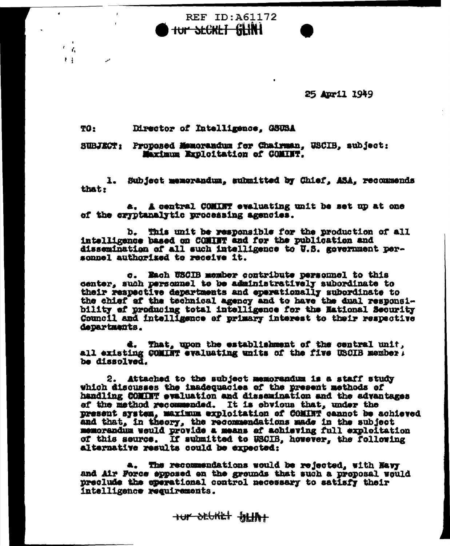25 April 1949

#### Director of Intelligence, GSUSA TO:

 $\pmb{\epsilon}$ Ł.  $\mathbf{H}$ 

## SUBJECT: Proposed Memorandum for Chairman, USCIB, subject: Marimum Exploitation of COMINT.

**REF ID: A61172** 

tur SECKET SEINE

1. Subject memorandum, submitted by Chief, ASA, recommends that:

a. A central COMINT evaluating unit be set up at one of the cryptanalytic processing agencies.

b. This unit be responsible for the production of all intelligence based on COMINT and for the publication and dissemination of all such intelligence to U.S. government personnel authorized to receive it.

c. Each USCIB member contribute personnel to this center, such personnel to be administratively subordinate to their respective departments and eperationally subordinate to the chief of the technical agency and to have the dual responsibility of producing total intelligence for the National Security Council and intelligence of primary interest to their respective departments.

d. That, upon the establishment of the central unit, all existing COMINT evaluating units of the five USCIB member, be dissolved.

2. Attached to the subject memorandum is a staff study which discusses the inadequacies of the present methods of handling COMINT evaluation and dissemination and the advantages of the method recommended. It is obvious that, under the present system, maximum exploitation of COMINT cannot be achieved and that, in theory, the recommendations made in the subject memorandum weuld provide a means of achieving full exploitation of this seurce. If submitted to USCIB, however, the following alternative results could be expected:

a. The recommendations would be rejected, with Mayy and Air Force epposed on the grounds that such a proposal would preclude the eperational control necessary to satisfy their intelligence requirements.

HUT DEVKET BILINT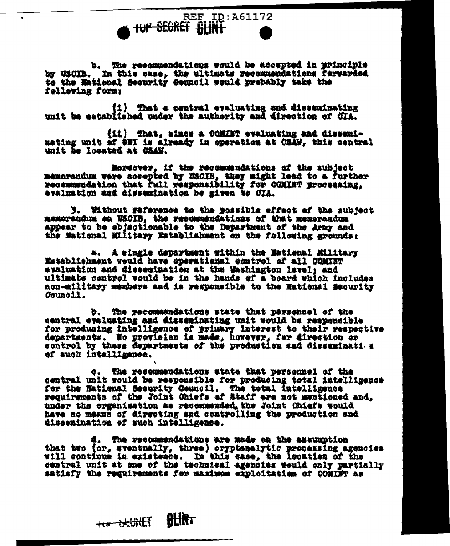b. The recommendations would be accepted in principle<br>by USCIB. In this case, the ultimate recommendations fervarded to the Mational Security Geuncil would probably take the fellowing form:

**TUP SEGRET BLINT** 

**REF ID: A61172** 

(1) That a central evaluating and disseminating unit be established under the authority and direction of CIA.

(ii) That, since a COMINT evaluating and disseminating unit of ONI is already in operation at CSAW, this central unit he located at CSAW.

Moreover, if the recommendations of the subject memorandum were accepted by USCIB, they might lead to a further recommendation that full responsibility for COMINT processing, evaluation and dissemination be given to CIA.

3. Without reference to the possible effect of the subject menorandum on USCIB, the recommendations of that memorandum appear to be sbjectionable to the Department of the Army and the National Military Establishment on the following grounds:

a. A single department within the Mational Military Establishment would have operational control of all COMINT evaluation and dissemination at the Washington Level: and ultimate control would be in the hands of a board which includes non-military members and is responsible to the National Security Council.

b. The recommendations state that personnel of the central evaluating and disseminating unit would be responsible for producing intelligence of primary interest to their respective departments. No provision is made, however, for direction or control by these departments of the production and disseminati a ef such intelligence.

c. The recommendations state that personnel of the central unit would be responsible for producing total intelligence for the National Security Council. The total Intelligence requirements of the Joint Chiefs of Staff are not mentioned and, under the organisation as recommended the Joint Chiefs would have no means of directing and controlling the production and dissemination of such intelligence.

d. The recommendations are made on the assumption that two (or, eventually, three) oryptanalytic processing agencies will continue in existence. In this case, the location of the central unit at one of the technical agencies would only partially satisfy the requirements for maximum exploitation of COMINT as

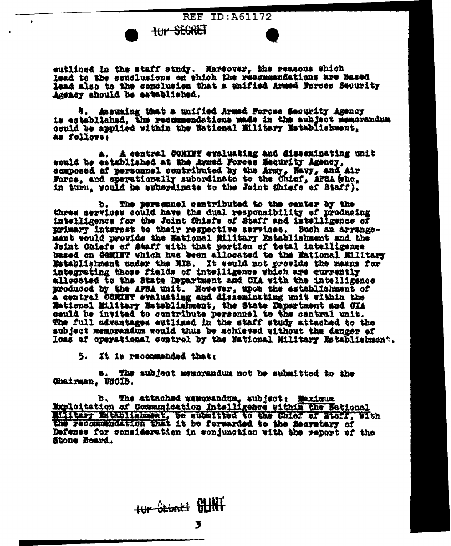**REF ID: A61172** 



outlined in the staff study. Moreover, the reasons which lead to the conclusions on which the recommendations are hased lead also to the conclusion that a unified Armed Forces Security Agency should be established.

4. Assuming that a unified Armed Forces Security Agency is established, the recommendations made in the subject memorandum could be applied within the National Military Establishment, as follows:

a. A central COMINT evaluating and disseminating unit could be established at the Armed Forces Security Agency, composed of personnel contributed by the Army, Navy, and Air Force, and operationally subordinate to the Chief, AFBA (who, in turn, would be subordinate to the Joint Chiefs of Staff).

b. The personnel sentributed to the center by the three services could have the dual responsibility of producing intelligence for the Joint Chiefs of Staff and intelligence of primary interest to their respective services. Such an arrangement would provide the Mational Military Establishment and the Joint Chiefs of Staff with that pertion of total intelligence based on COMINT which has been allocated to the Mational Military Matablishment under the NIS. It would not provide the means for integrating those fields of intelligence which are currently allocated to the State Department and OIA with the intelligence produced by the AFSA unit. However, upon the establishment of a central COMINT evaluating and disseminating unit within the National Military Establishment, the State Department and CIA ceuld be invited to contribute personnel to the central unit. The full advantages eutlined in the staff study attached to the aubject memorandum would thus be achieved without the danger of loss of operational control by the Mational Military Establishment.

5. It is recommended that:

The subject memorandum not be submitted to the æ. Chairman, USCIB.

The attached memorandum, subject: Maximum Ъ. Exploitation of Communication Intelligence within the Wational Military Establishment, be submitted to the Chief of Staff, with the recommendation that it be forwarded to the Secretary of Defense for consideration in conjunction with the report of the Stone Beard.

tur Stunt GLINT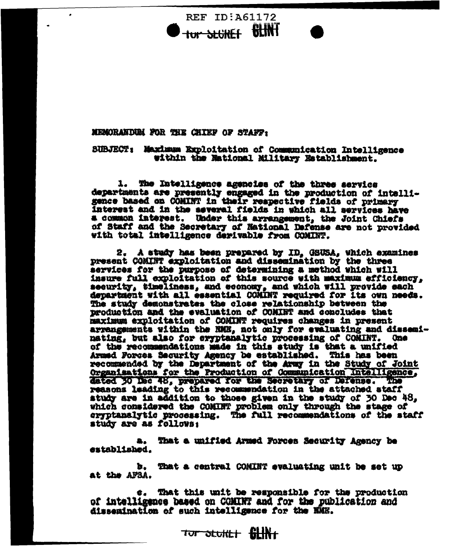**REF ID:A61172** tur SEGREF BLINT

## **MEMORANDUM FOR THE CHIEF OF STAFF:**

SUBJECT: Maximum Exploitation of Communication Intelligence within the Mational Military Establishment.

1. The Intelligence agencies of the three service departments are presently engaged in the production of intelli-gence based on COMINT in their respective fields of primary interest and in the asyeral fields in which all services have a common interest. Under this arrangement, the Joint Chiefs of Staff and the Secretary of National Defense are not provided with total intelligence derivable from COMINT.

2. A study has been prepared by ID. GSUSA, which examines present COMINT exploitation and dissemination by the three services for the purpose of determining a method which will insure full exploitation of this source with maximum efficiency, security, timeliness, and economy, and which will provide each department with all essential COMINT required for its own needs. The study demonstrates the close relationship between the production and the evaluation of COMINT and concludes that maximum exploitation of COMINT requires changes in present arrangements within the NME, not only for evaluating and disseninating, but also for cryptanalytic processing of COMINT. One of the recommendations made in this study is that a unified Armed Forces Security Agency be established. This has been recommended by the Department of the Army in the Study of Joint Organisations for the Production of Communication Intelligence, dated 30 Dec 48, prepared for the Secretary of Defense. The reasons leading to this recommendation in the attached staff study are in addition to those given in the study of 30 Dec 48, which considered the COMINT problem only through the stage of eryptanalytic processing. The full recommendations of the staff study are as follows:

a. That a unified Armed Forces Security Agency be sztablished.

b. That a central COMINT evaluating unit be set up at the AFSA.

 $e$ . That this unit be responsible for the production of intelligence based on COMINT and for the publication and dissemination of such intelligence for the NME.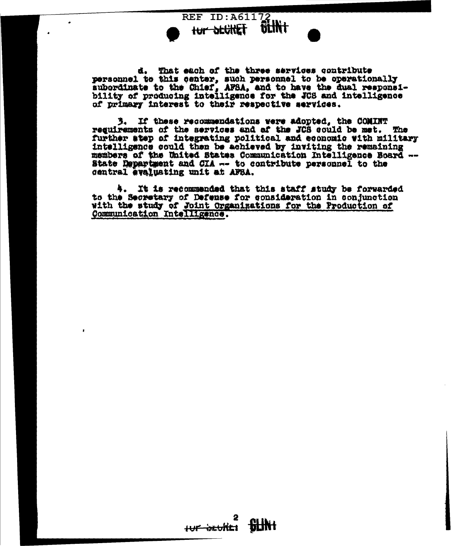

d. That each of the three services contribute personnel to this center, such personnel to be operationally subordinate to the Chief, AFSA, and to have the dual responsi-<br>bility of producing intelligence for the JCS and intelligence of primary interest to their respective services.

If these recommendations were adopted, the COMINT 3. reguirements of the services and af the JCS could be met. **The** further atep of integrating political and economic with military intelligence could then be achieved by inviting the remaining members of the United States Communication Intelligence Board --State Department and CIA -- to contribute personnel to the central evaluating unit at AFSA.

4. It is recommended that this staff study be forwarded to the Secretary of Defense for consideration in conjunction with the study of Joint Organizations for the Production of Communication Intelligence.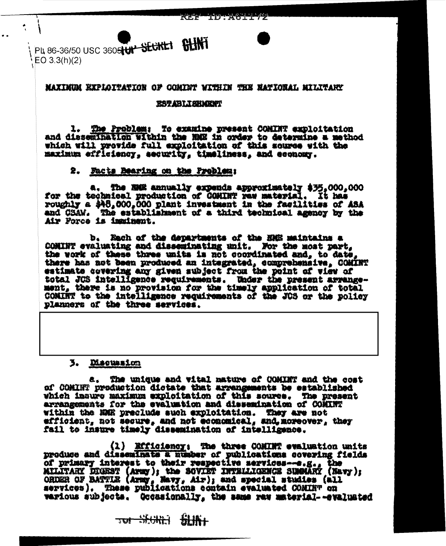PL 86-36/50 USC 3605 TUP SECRET SHIM  $EO 3.3(h)(2)$ 

## **MAXIMUM EXPLOITATION OF COMINT WITHIN THE NATIONAL MILITARY**

#### **TEST ABILIEN ARTI**

1. The Problem: To examine present CONINT exploitation<br>and dissemination within the NRE in order to determine a method which will provide full exploitation of this source with the maximum efficiency, security, timeliness, and economy.

## 2. Facts Bearing on the Problem:

The NHK annually expends approximately \$35,000,000 for the technical production of COMINT raw material. It has roughly a \$48,000,000 plant investment in the facilities of ASA and GSAW. The establishment of a third technical agency by the Air Force is imminent.

b. Rach of the departments of the NAH maintains a COMINT evaluating and disseminating unit. Nor the most part, the work of these three units is not coordinated and, to date there has not been produced an integrated, comprehensive, COMINT estimate covering any given subject from the point of view of total JOS intelligence requirements. Under the present arrange-ment, there is no provision for the timely application of total COMINT to the intelligence requirements of the JOS or the policy planners of the three services.

## 3. Discussion

a. The unique and vital nature of COMINT and the cost of COMINT production dictate that arrengements be established which insure maximum exploitation of this source. The present arrangements for the evaluation and dissemination of COMINT within the NMR preclude such exploitation. They are not efficient, not secure, and not economical, and moreover, they fail to insure timely dissemination of intelligence.

(1) Efficiency: The three COMINT evaluation units produce and disseminate a number of publications covering fields of primary interest to their respective services-e.g., the MILITARY DIGEST (Army); the SOVIET INTELLIGENCE SUMMARY (Navy);<br>ORDER OF BATTLE (Army, Navy, Air); and special studies (all<br>services). These publications contain evaluated COMINT on various subjects. Occasionally, the same raw material--svaluated

**TW SECRET SLIKE**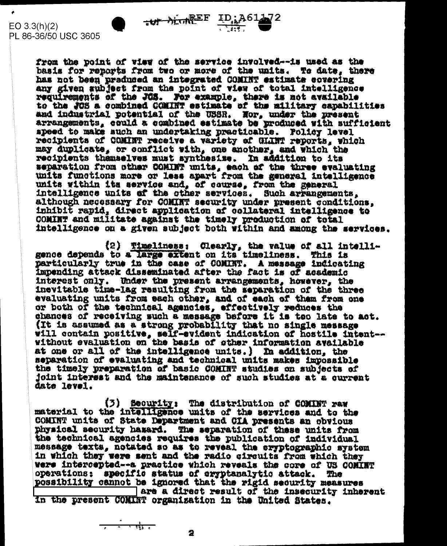$\frac{1}{4}$ 

 $EO 3.3(h)(2)$ PL 86-36/50 USC 3605

> from the point of view of the service involved -- is used as the basis for reports from two or more of the units. To date, there has not been preduced an integrated COMINT estimate covering any given subject from the point of view of total intelligence requirements of the JOS. For example, there is not available<br>to the JOS a combined COMINT estimate of the military capabilities and industrial potential of the USSR. Nor, under the present arrangements, could a combined estimate be produced with sufficient speed to make auch an undertaking practicable. Policy level recipients of COMINT receive a variety of GLINT reports, which may duplicate, or conflict with, one another, and which the recipients themselves must synthesize. In addition to its separation from other COMINT units, each of the three evaluating units functions more or less apart from the general intelligence units within its service and, of course, from the general intelligence units of the other services. Such arrangements, although necessary for COMINT security under present conditions. inhibit rapid, direct application of collateral intelligence to COMINT and militate against the timely production of total intelligence on a given subject both within and among the services.

(2) Timeliness: Clearly, the value of all intelligence depends to a large extent on its timeliness. This is particularly true in the case of COMINT. A message indicating impending attack disseminated after the fact is of academic interest only. Under the present arrangements, however, the inevitable time-lag resulting from the separation of the three evaluating units from each other, and of each of them from one or both of the technical agencies, effectively reduces the chances of receiving such a message before it is too late to act. (It is assumed as a strong probability that no single message will contain positive, self-evident indication of hostile intent--<br>without evaluation on the basis of other information available at one or all of the intelligence units.) In addition, the separation of evaluating and technical units makes impossible the timely preparation of basic COMINT studies on subjects of joint interest and the maintenance of such studies at a current date level.

(3) Becurity: The distribution of COMINT raw<br>material to the intelligence units of the services and to the COMINT units of State Department and CIA presents an obvious physical security hasard. The separation of these units from the technical agencies requires the publication of individual message texts, notated so as to reveal the eryptographic system in which they were sent and the radio circuits from which they were intercepted -- a practice which reveals the core of US COMINT operations: specific status of exyptanalytic attack. The possibility cannot be ignored that the rigid security measures are a direct result of the insecurity inherent

in the present COMINT organization in the United States.

 $\frac{1}{1-\frac{1}{1-\frac{1}{1-\frac{1}{1-\frac{1}{1-\frac{1}{1-\frac{1}{1-\frac{1}{1-\frac{1}{1-\frac{1}{1-\frac{1}{1-\frac{1}{1-\frac{1}{1-\frac{1}{1-\frac{1}{1-\frac{1}{1-\frac{1}{1-\frac{1}{1-\frac{1}{1-\frac{1}{1-\frac{1}{1-\frac{1}{1-\frac{1}{1-\frac{1}{1-\frac{1}{1-\frac{1}{1-\frac{1}{1-\frac{1}{1-\frac{1}{1-\frac{1}{1-\frac{1}{1-\frac{1}{1-\frac{1}{1-\frac{1}{1-\frac{1}{1-\frac{1}{1-\frac{1$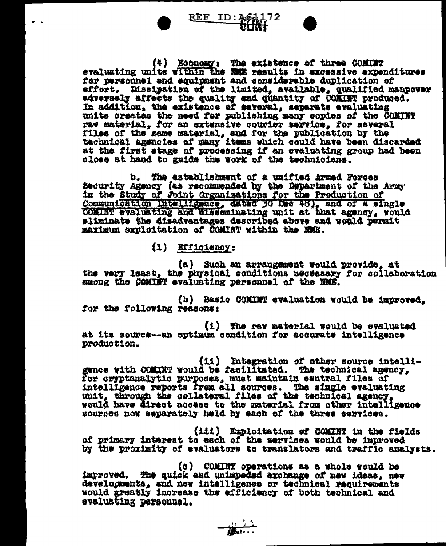

(4) Economy: The existence of three CONIET evaluating units within the NNE results in excessive expenditures for personnel and equipment and considerable duplication of effort. Dissipation of the limited, available, qualified manpower adversely affects the quality and quantity of COMINT produced. In addition, the existence of several, separate evaluating units creates the need for publishing many copies of the COMINT raw material, for an extensive courier service, for several files of the same material, and for the publication by the technical agencies of many items which could have been discarded at the first stage of processing if an evaluating group had been close at hand to guide the work of the technicians.

b. The establishment of a unified Armed Forces Security Agency (as recommended by the Department of the Army in the Study of Joint Organizations for the Production of Communication Intelligence, dated 30 Dec 48), and of a single COMINT evaluating and disseminating unit at that agency, would eliminate the disadvantages described above and would permit maximum sxploitation of COMINT within the NMH.

(1) Efficiency:

(a) Such an arrangement would provide, at the very least, the physical conditions necessary for collaboration smong the COMINT evaluating personnel of the NME.

(b) Basic COMINT evaluation would be improved. for the following reasons:

(i) The ray material would be evaluated at its source -- an optimum condition for accurate intelligence production.

(ii) Integration of other source intelligence with COMINT would be facilitated. The technical agency, for cryptanalytic purposes, must maintain central files of intelligence reports frem all sources. The single evaluating unit, through the collateral files of the technical agency. would have direct access to the material from other intelligence sources now separately held by each of the three services.

(iii) Exploitation of COMINT in the fields of primary interest to each of the services would be improved by the proximity of evaluators to translators and traffic analysts.

(c) COMINT operations as a whole would be improved. The quick and unimpeded axchange of new ideas, new developments, and new intelligence or technical requirements would greatly increase the efficiency of both technical and evaluating personnel.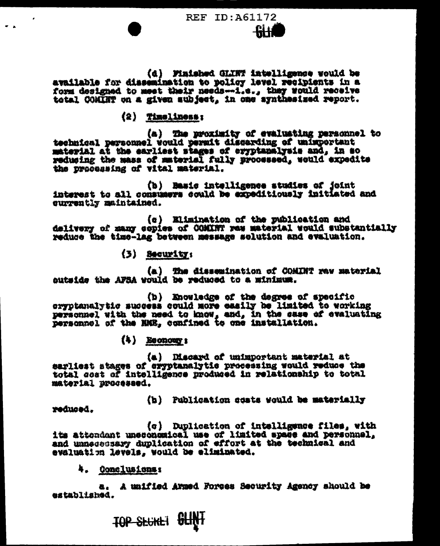**REF ID: A61172** 

(d) Finished GLINT intelligence would be available for dissemination to policy level recipients in a form designed to meet their needs--i.e., they would receive total COMINT on a given aubject, in one synthesized report.

## $(2)$  Timeliness;

(a) The proximity of evaluating personnel to<br>technical personnel would permit discarding of unimportant<br>material at the earliest stages of eryptanalysis and, in so reducing the mass of material fully processed, would expedite the processing of vitel material.

(b) Basic intelligence studies of joint interest to all communers could be expeditiously initiated and currently maintained.

(c) Elimination of the publication and delivery of many copies of COMINT res material would substantially reduce the time-lag between message solution and evaluation.

 $(3)$  Security:

(a) The dissemination of COMINT raw material outside the AFSA would be reduced to a minimum.

(b) Enowledge of the degree of specific oryptanalytic success could more easily be limited to working personnel with the need to know, and, in the case of evaluating personnel of the HMR, confined to one installation.

 $(4)$  Reonour:

(a) Discard of unimportant material at sarliest stages of eryptanalytic processing would reduce the total cost of intelligence produced in relationship to total material processed.

(h) Publication costs would be materially

reduced.

(c) Duplication of intelligence files, with its attendant unsconomical use of limited space and personnel. and unnecessary duplication of effort at the technical and evaluation levels, would be eliminated.

4. Conclusions:

a. A unified Armed Forces Security Agency should be astablished.

TOP SECKET SLINT